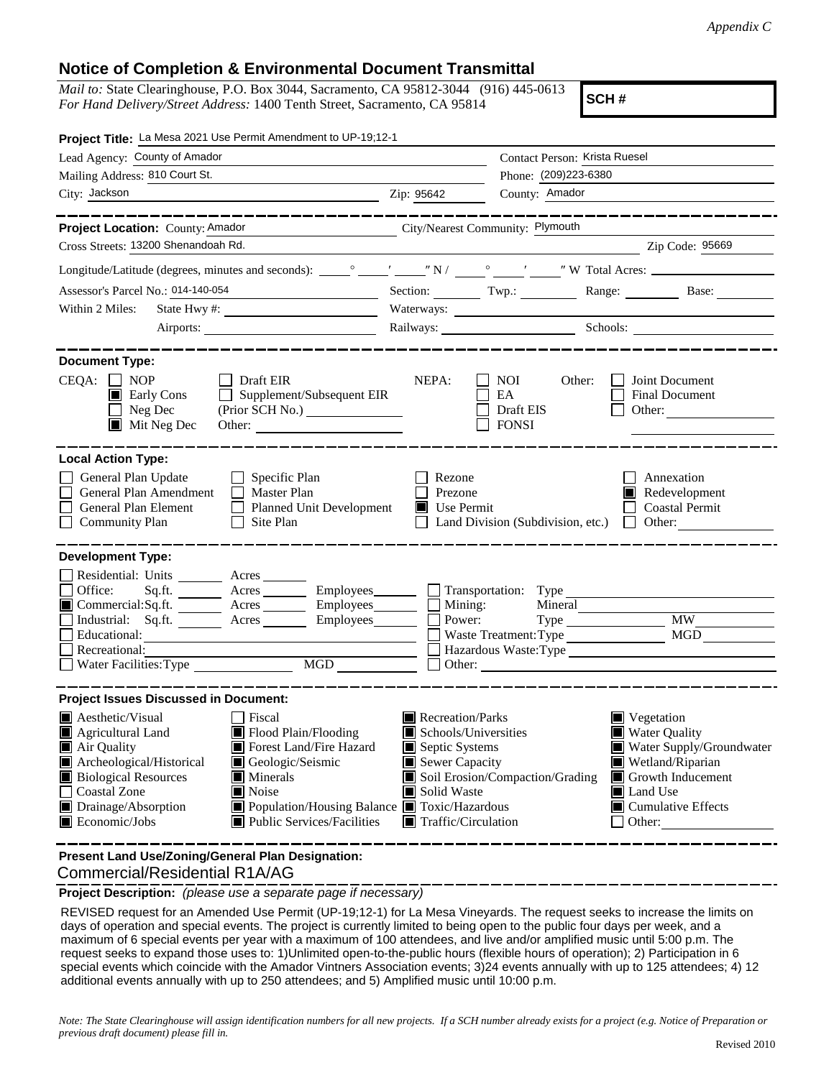## **Notice of Completion & Environmental Document Transmittal**

*Mail to:* State Clearinghouse, P.O. Box 3044, Sacramento, CA 95812-3044 (916) 445-0613 *For Hand Delivery/Street Address:* 1400 Tenth Street, Sacramento, CA 95814

**SCH #**

| Project Title: La Mesa 2021 Use Permit Amendment to UP-19;12-1                                                                                                                        |  |                                                                                                                                                                                                                                                                                                                                                                                                                                  |                                               |                             |                                                                       |  |
|---------------------------------------------------------------------------------------------------------------------------------------------------------------------------------------|--|----------------------------------------------------------------------------------------------------------------------------------------------------------------------------------------------------------------------------------------------------------------------------------------------------------------------------------------------------------------------------------------------------------------------------------|-----------------------------------------------|-----------------------------|-----------------------------------------------------------------------|--|
| Lead Agency: County of Amador                                                                                                                                                         |  | Contact Person: Krista Ruesel                                                                                                                                                                                                                                                                                                                                                                                                    |                                               |                             |                                                                       |  |
| Mailing Address: 810 Court St.                                                                                                                                                        |  | Phone: (209)223-6380                                                                                                                                                                                                                                                                                                                                                                                                             |                                               |                             |                                                                       |  |
| City: Jackson                                                                                                                                                                         |  | County: Amador<br>Zip: 95642                                                                                                                                                                                                                                                                                                                                                                                                     |                                               |                             |                                                                       |  |
|                                                                                                                                                                                       |  |                                                                                                                                                                                                                                                                                                                                                                                                                                  |                                               |                             |                                                                       |  |
| Project Location: County: Amador                                                                                                                                                      |  | City/Nearest Community: Plymouth<br>$\frac{1}{\sqrt{1-\frac{1}{2}-\frac{1}{2}-\frac{1}{2}-\frac{1}{2}-\frac{1}{2}-\frac{1}{2}-\frac{1}{2}-\frac{1}{2}-\frac{1}{2}-\frac{1}{2}-\frac{1}{2}-\frac{1}{2}-\frac{1}{2}-\frac{1}{2}-\frac{1}{2}-\frac{1}{2}-\frac{1}{2}-\frac{1}{2}-\frac{1}{2}-\frac{1}{2}-\frac{1}{2}-\frac{1}{2}-\frac{1}{2}-\frac{1}{2}-\frac{1}{2}-\frac{1}{2}-\frac{1}{2}-\frac{1}{2}-\frac{1}{2}-\frac{1}{2}-\$ |                                               |                             |                                                                       |  |
| Cross Streets: 13200 Shenandoah Rd.                                                                                                                                                   |  |                                                                                                                                                                                                                                                                                                                                                                                                                                  |                                               |                             |                                                                       |  |
|                                                                                                                                                                                       |  |                                                                                                                                                                                                                                                                                                                                                                                                                                  |                                               |                             |                                                                       |  |
| Assessor's Parcel No.: 014-140-054<br><u> 1989 - Johann Barnett, fransk politiker (</u>                                                                                               |  |                                                                                                                                                                                                                                                                                                                                                                                                                                  |                                               |                             | Section: Twp.: Range: Base:                                           |  |
| Within 2 Miles:                                                                                                                                                                       |  |                                                                                                                                                                                                                                                                                                                                                                                                                                  |                                               |                             |                                                                       |  |
|                                                                                                                                                                                       |  |                                                                                                                                                                                                                                                                                                                                                                                                                                  |                                               | Railways: Schools: Schools: |                                                                       |  |
| <b>Document Type:</b>                                                                                                                                                                 |  |                                                                                                                                                                                                                                                                                                                                                                                                                                  |                                               |                             |                                                                       |  |
| $CEQA: \Box NOP$<br>Draft EIR<br>Supplement/Subsequent EIR<br>$\blacksquare$ Early Cons<br>$\Box$<br>Neg Dec<br>$\mathsf{L}$<br>$\blacksquare$ Mit Neg Dec                            |  | NEPA:                                                                                                                                                                                                                                                                                                                                                                                                                            | <b>NOI</b><br>EA<br>Draft EIS<br><b>FONSI</b> | Other:                      | Joint Document<br>Final Document<br>Other: $\qquad \qquad$            |  |
| <b>Local Action Type:</b>                                                                                                                                                             |  |                                                                                                                                                                                                                                                                                                                                                                                                                                  |                                               |                             |                                                                       |  |
| General Plan Update<br>$\Box$ Specific Plan<br>General Plan Amendment<br>$\Box$ Master Plan<br>General Plan Element<br>Planned Unit Development<br><b>Community Plan</b><br>Site Plan |  | Rezone<br>Prezone<br>Use Permit                                                                                                                                                                                                                                                                                                                                                                                                  | Land Division (Subdivision, etc.)             |                             | Annexation<br>Redevelopment<br><b>Coastal Permit</b><br>$\Box$ Other: |  |
| <b>Development Type:</b>                                                                                                                                                              |  |                                                                                                                                                                                                                                                                                                                                                                                                                                  |                                               |                             |                                                                       |  |
| Residential: Units ________ Acres _______                                                                                                                                             |  |                                                                                                                                                                                                                                                                                                                                                                                                                                  |                                               |                             |                                                                       |  |
| Office:<br>Sq.ft. __________ Acres ___________ Employees________                                                                                                                      |  |                                                                                                                                                                                                                                                                                                                                                                                                                                  | Transportation: Type                          |                             |                                                                       |  |
| Commercial:Sq.ft. _______ Acres ________ Employees_______ $\square$                                                                                                                   |  |                                                                                                                                                                                                                                                                                                                                                                                                                                  | Mining:<br>Mineral<br>Power:                  |                             | $\overline{MW}$                                                       |  |
| Industrial: Sq.ft. _______ Acres ________ Employees _______ $\Box$<br>Educational:                                                                                                    |  | Waste Treatment: Type                                                                                                                                                                                                                                                                                                                                                                                                            |                                               |                             | <b>MGD</b>                                                            |  |
| Recreational:                                                                                                                                                                         |  | Hazardous Waste:Type                                                                                                                                                                                                                                                                                                                                                                                                             |                                               |                             |                                                                       |  |
| MGD                                                                                                                                                                                   |  |                                                                                                                                                                                                                                                                                                                                                                                                                                  |                                               |                             |                                                                       |  |
| <b>Project Issues Discussed in Document:</b>                                                                                                                                          |  |                                                                                                                                                                                                                                                                                                                                                                                                                                  |                                               |                             |                                                                       |  |
| <b>A</b> esthetic/Visual<br><b>□</b> Fiscal                                                                                                                                           |  | Recreation/Parks                                                                                                                                                                                                                                                                                                                                                                                                                 |                                               | Vegetation                  |                                                                       |  |
| Agricultural Land<br>Flood Plain/Flooding                                                                                                                                             |  | Schools/Universities                                                                                                                                                                                                                                                                                                                                                                                                             |                                               | <b>Water Quality</b>        |                                                                       |  |
| Forest Land/Fire Hazard<br>Air Quality                                                                                                                                                |  | Septic Systems<br>Sewer Capacity                                                                                                                                                                                                                                                                                                                                                                                                 |                                               |                             | Water Supply/Groundwater                                              |  |
| Archeological/Historical<br>Geologic/Seismic<br><b>Biological Resources</b><br>Minerals                                                                                               |  |                                                                                                                                                                                                                                                                                                                                                                                                                                  | Soil Erosion/Compaction/Grading               | IШ                          | Wetland/Riparian<br>Growth Inducement                                 |  |
| <b>Coastal Zone</b><br>Noise                                                                                                                                                          |  | Solid Waste                                                                                                                                                                                                                                                                                                                                                                                                                      |                                               | Land Use                    |                                                                       |  |
| Drainage/Absorption<br>Population/Housing Balance <b>T</b> Toxic/Hazardous<br>Economic/Jobs<br>■ Public Services/Facilities                                                           |  | $\blacksquare$ Traffic/Circulation                                                                                                                                                                                                                                                                                                                                                                                               |                                               |                             | Cumulative Effects<br>Other:                                          |  |
|                                                                                                                                                                                       |  |                                                                                                                                                                                                                                                                                                                                                                                                                                  |                                               |                             |                                                                       |  |

 Commercial/Residential R1A/AG **Present Land Use/Zoning/General Plan Designation:**

**Project Description:** *(please use a separate page if necessary)*

 REVISED request for an Amended Use Permit (UP-19;12-1) for La Mesa Vineyards. The request seeks to increase the limits on days of operation and special events. The project is currently limited to being open to the public four days per week, and a maximum of 6 special events per year with a maximum of 100 attendees, and live and/or amplified music until 5:00 p.m. The request seeks to expand those uses to: 1)Unlimited open-to-the-public hours (flexible hours of operation); 2) Participation in 6 special events which coincide with the Amador Vintners Association events; 3)24 events annually with up to 125 attendees; 4) 12 additional events annually with up to 250 attendees; and 5) Amplified music until 10:00 p.m.

*Note: The State Clearinghouse will assign identification numbers for all new projects. If a SCH number already exists for a project (e.g. Notice of Preparation or previous draft document) please fill in.*